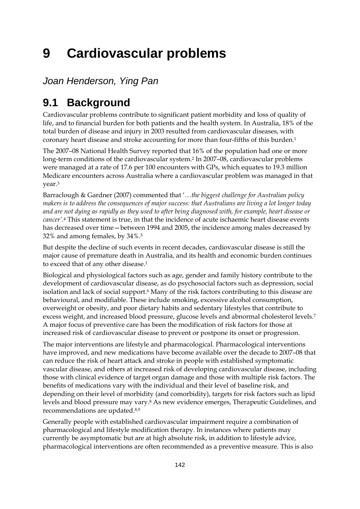# **9 Cardiovascular problems**

*Joan Henderson, Ying Pan* 

# **9.1 Background**

Cardiovascular problems contribute to significant patient morbidity and loss of quality of life, and to financial burden for both patients and the health system. In Australia, 18% of the total burden of disease and injury in 2003 resulted from cardiovascular diseases, with coronary heart disease and stroke accounting for more than four-fifths of this burden.1

The 2007–08 National Health Survey reported that 16% of the population had one or more long-term conditions of the cardiovascular system.2 In 2007–08, cardiovascular problems were managed at a rate of 17.6 per 100 encounters with GPs, which equates to 19.3 million Medicare encounters across Australia where a cardiovascular problem was managed in that year.3

Barraclough & Gardner (2007) commented that '…*the biggest challenge for Australian policy makers is to address the consequences of major success: that Australians are living a lot longer today and are not dying as rapidly as they used to after being diagnosed with, for example, heart disease or cancer'*.4 This statement is true, in that the incidence of acute ischaemic heart disease events has decreased over time—between 1994 and 2005, the incidence among males decreased by 32% and among females, by 34%.5

But despite the decline of such events in recent decades, cardiovascular disease is still the major cause of premature death in Australia, and its health and economic burden continues to exceed that of any other disease.1

Biological and physiological factors such as age, gender and family history contribute to the development of cardiovascular disease, as do psychosocial factors such as depression, social isolation and lack of social support.<sup>6</sup> Many of the risk factors contributing to this disease are behavioural, and modifiable. These include smoking, excessive alcohol consumption, overweight or obesity, and poor dietary habits and sedentary lifestyles that contribute to excess weight, and increased blood pressure, glucose levels and abnormal cholesterol levels.7 A major focus of preventive care has been the modification of risk factors for those at increased risk of cardiovascular disease to prevent or postpone its onset or progression.

The major interventions are lifestyle and pharmacological. Pharmacological interventions have improved, and new medications have become available over the decade to 2007–08 that can reduce the risk of heart attack and stroke in people with established symptomatic vascular disease, and others at increased risk of developing cardiovascular disease, including those with clinical evidence of target organ damage and those with multiple risk factors. The benefits of medications vary with the individual and their level of baseline risk, and depending on their level of morbidity (and comorbidity), targets for risk factors such as lipid levels and blood pressure may vary.8 As new evidence emerges, Therapeutic Guidelines, and recommendations are updated.8,9

Generally people with established cardiovascular impairment require a combination of pharmacological and lifestyle modification therapy. In instances where patients may currently be asymptomatic but are at high absolute risk, in addition to lifestyle advice, pharmacological interventions are often recommended as a preventive measure. This is also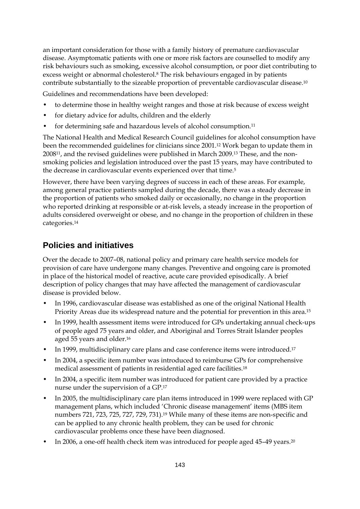an important consideration for those with a family history of premature cardiovascular disease. Asymptomatic patients with one or more risk factors are counselled to modify any risk behaviours such as smoking, excessive alcohol consumption, or poor diet contributing to excess weight or abnormal cholesterol.8 The risk behaviours engaged in by patients contribute substantially to the sizeable proportion of preventable cardiovascular disease.10

Guidelines and recommendations have been developed:

- to determine those in healthy weight ranges and those at risk because of excess weight
- for dietary advice for adults, children and the elderly
- for determining safe and hazardous levels of alcohol consumption.11

The National Health and Medical Research Council guidelines for alcohol consumption have been the recommended guidelines for clinicians since 2001.12 Work began to update them in 200811, and the revised guidelines were published in March 2009.13 These, and the nonsmoking policies and legislation introduced over the past 15 years, may have contributed to the decrease in cardiovascular events experienced over that time.<sup>5</sup>

However, there have been varying degrees of success in each of these areas. For example, among general practice patients sampled during the decade, there was a steady decrease in the proportion of patients who smoked daily or occasionally, no change in the proportion who reported drinking at responsible or at-risk levels, a steady increase in the proportion of adults considered overweight or obese, and no change in the proportion of children in these categories.14

### **Policies and initiatives**

Over the decade to 2007–08, national policy and primary care health service models for provision of care have undergone many changes. Preventive and ongoing care is promoted in place of the historical model of reactive, acute care provided episodically. A brief description of policy changes that may have affected the management of cardiovascular disease is provided below.

- In 1996, cardiovascular disease was established as one of the original National Health Priority Areas due its widespread nature and the potential for prevention in this area.15
- In 1999, health assessment items were introduced for GPs undertaking annual check-ups of people aged 75 years and older, and Aboriginal and Torres Strait Islander peoples aged 55 years and older.16
- In 1999, multidisciplinary care plans and case conference items were introduced.<sup>17</sup>
- In 2004, a specific item number was introduced to reimburse GPs for comprehensive medical assessment of patients in residential aged care facilities.18
- In 2004, a specific item number was introduced for patient care provided by a practice nurse under the supervision of a GP.17
- In 2005, the multidisciplinary care plan items introduced in 1999 were replaced with GP management plans, which included 'Chronic disease management' items (MBS item numbers 721, 723, 725, 727, 729, 731).19 While many of these items are non-specific and can be applied to any chronic health problem, they can be used for chronic cardiovascular problems once these have been diagnosed.
- In 2006, a one-off health check item was introduced for people aged 45-49 years.<sup>20</sup>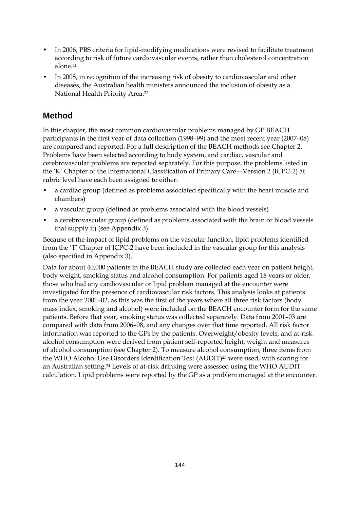- In 2006, PBS criteria for lipid-modifying medications were revised to facilitate treatment according to risk of future cardiovascular events, rather than cholesterol concentration alone.21
- In 2008, in recognition of the increasing risk of obesity to cardiovascular and other diseases, the Australian health ministers announced the inclusion of obesity as a National Health Priority Area.22

### **Method**

In this chapter, the most common cardiovascular problems managed by GP BEACH participants in the first year of data collection (1998–99) and the most recent year (2007–08) are compared and reported. For a full description of the BEACH methods see Chapter 2. Problems have been selected according to body system, and cardiac, vascular and cerebrovascular problems are reported separately. For this purpose, the problems listed in the 'K' Chapter of the International Classification of Primary Care—Version 2 (ICPC-2) at rubric level have each been assigned to either:

- a cardiac group (defined as problems associated specifically with the heart muscle and chambers)
- a vascular group (defined as problems associated with the blood vessels)
- a cerebrovascular group (defined as problems associated with the brain or blood vessels that supply it) (see Appendix 3).

Because of the impact of lipid problems on the vascular function, lipid problems identified from the 'T' Chapter of ICPC-2 have been included in the vascular group for this analysis (also specified in Appendix 3).

Data for about 40,000 patients in the BEACH study are collected each year on patient height, body weight, smoking status and alcohol consumption. For patients aged 18 years or older, those who had any cardiovascular or lipid problem managed at the encounter were investigated for the presence of cardiovascular risk factors. This analysis looks at patients from the year 2001–02, as this was the first of the years where all three risk factors (body mass index, smoking and alcohol) were included on the BEACH encounter form for the same patients. Before that year, smoking status was collected separately. Data from 2001–03 are compared with data from 2006–08, and any changes over that time reported. All risk factor information was reported to the GPs by the patients. Overweight/obesity levels, and at-risk alcohol consumption were derived from patient self-reported height, weight and measures of alcohol consumption (see Chapter 2). To measure alcohol consumption, three items from the WHO Alcohol Use Disorders Identification Test (AUDIT)<sup>23</sup> were used, with scoring for an Australian setting.24 Levels of at-risk drinking were assessed using the WHO AUDIT calculation. Lipid problems were reported by the GP as a problem managed at the encounter.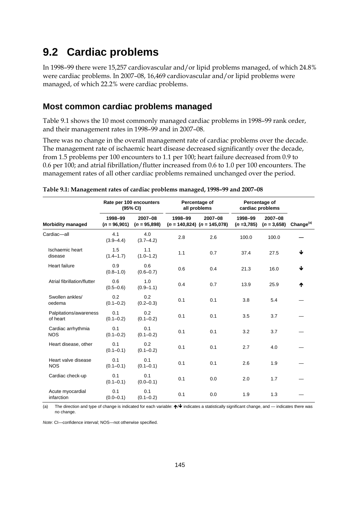## **9.2 Cardiac problems**

In 1998–99 there were 15,257 cardiovascular and/or lipid problems managed, of which 24.8% were cardiac problems. In 2007–08, 16,469 cardiovascular and/or lipid problems were managed, of which 22.2% were cardiac problems.

### **Most common cardiac problems managed**

Table 9.1 shows the 10 most commonly managed cardiac problems in 1998–99 rank order, and their management rates in 1998–99 and in 2007–08.

There was no change in the overall management rate of cardiac problems over the decade. The management rate of ischaemic heart disease decreased significantly over the decade, from 1.5 problems per 100 encounters to 1.1 per 100; heart failure decreased from 0.9 to 0.6 per 100; and atrial fibrillation/flutter increased from 0.6 to 1.0 per 100 encounters. The management rates of all other cardiac problems remained unchanged over the period.

|                                    |                           | Rate per 100 encounters<br>(95% CI) |         | Percentage of<br>all problems              |                        | Percentage of<br>cardiac problems |                       |  |
|------------------------------------|---------------------------|-------------------------------------|---------|--------------------------------------------|------------------------|-----------------------------------|-----------------------|--|
| <b>Morbidity managed</b>           | 1998-99<br>$(n = 96,901)$ | $2007 - 08$<br>$(n = 95,898)$       | 1998-99 | 2007-08<br>$(n = 140,824)$ $(n = 145,078)$ | 1998-99<br>$(n=3,785)$ | 2007-08<br>$(n = 3.658)$          | Change <sup>(a)</sup> |  |
| Cardiac-all                        | 4.1<br>$(3.9 - 4.4)$      | 4.0<br>$(3.7 - 4.2)$                | 2.8     | 2.6                                        | 100.0                  | 100.0                             |                       |  |
| Ischaemic heart<br>disease         | 1.5<br>$(1.4 - 1.7)$      | 1.1<br>$(1.0 - 1.2)$                | 1.1     | 0.7                                        | 37.4                   | 27.5                              | ↓                     |  |
| <b>Heart failure</b>               | 0.9<br>$(0.8 - 1.0)$      | 0.6<br>$(0.6 - 0.7)$                | 0.6     | 0.4                                        | 21.3                   | 16.0                              | ↓                     |  |
| Atrial fibrillation/flutter        | 0.6<br>$(0.5 - 0.6)$      | 1.0<br>$(0.9 - 1.1)$                | 0.4     | 0.7                                        | 13.9                   | 25.9                              | ₼                     |  |
| Swollen ankles/<br>oedema          | 0.2<br>$(0.1 - 0.2)$      | 0.2<br>$(0.2 - 0.3)$                | 0.1     | 0.1                                        | 3.8                    | 5.4                               |                       |  |
| Palpitations/awareness<br>of heart | 0.1<br>$(0.1 - 0.2)$      | 0.2<br>$(0.1 - 0.2)$                | 0.1     | 0.1                                        | 3.5                    | 3.7                               |                       |  |
| Cardiac arrhythmia<br><b>NOS</b>   | 0.1<br>$(0.1 - 0.2)$      | 0.1<br>$(0.1 - 0.2)$                | 0.1     | 0.1                                        | 3.2                    | 3.7                               |                       |  |
| Heart disease, other               | 0.1<br>$(0.1 - 0.1)$      | 0.2<br>$(0.1 - 0.2)$                | 0.1     | 0.1                                        | 2.7                    | 4.0                               |                       |  |
| Heart valve disease<br><b>NOS</b>  | 0.1<br>$(0.1 - 0.1)$      | 0.1<br>$(0.1 - 0.1)$                | 0.1     | 0.1                                        | 2.6                    | 1.9                               |                       |  |
| Cardiac check-up                   | 0.1<br>$(0.1 - 0.1)$      | 0.1<br>$(0.0 - 0.1)$                | 0.1     | 0.0                                        | 2.0                    | 1.7                               |                       |  |
| Acute myocardial<br>infarction     | 0.1<br>$(0.0 - 0.1)$      | 0.1<br>$(0.1 - 0.2)$                | 0.1     | 0.0                                        | 1.9                    | 1.3                               |                       |  |

| Table 9.1: Management rates of cardiac problems managed, 1998-99 and 2007-08 |  |  |
|------------------------------------------------------------------------------|--|--|
|                                                                              |  |  |

(a) The direction and type of change is indicated for each variable:  $\bigtriangleup\bigtriangledown\bigtriangleup$  indicates a statistically significant change, and — indicates there was no change.

*Note:* CI—confidence interval; NOS—not otherwise specified.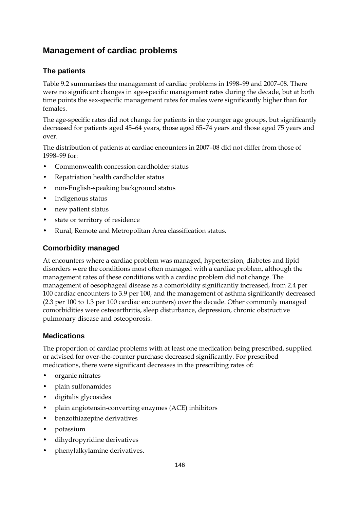## **Management of cardiac problems**

### **The patients**

Table 9.2 summarises the management of cardiac problems in 1998–99 and 2007–08. There were no significant changes in age-specific management rates during the decade, but at both time points the sex-specific management rates for males were significantly higher than for females.

The age-specific rates did not change for patients in the younger age groups, but significantly decreased for patients aged 45–64 years, those aged 65–74 years and those aged 75 years and over.

The distribution of patients at cardiac encounters in 2007–08 did not differ from those of 1998–99 for:

- Commonwealth concession cardholder status
- Repatriation health cardholder status
- non-English-speaking background status
- Indigenous status
- new patient status
- state or territory of residence
- Rural, Remote and Metropolitan Area classification status.

### **Comorbidity managed**

At encounters where a cardiac problem was managed, hypertension, diabetes and lipid disorders were the conditions most often managed with a cardiac problem, although the management rates of these conditions with a cardiac problem did not change. The management of oesophageal disease as a comorbidity significantly increased, from 2.4 per 100 cardiac encounters to 3.9 per 100, and the management of asthma significantly decreased (2.3 per 100 to 1.3 per 100 cardiac encounters) over the decade. Other commonly managed comorbidities were osteoarthritis, sleep disturbance, depression, chronic obstructive pulmonary disease and osteoporosis.

### **Medications**

The proportion of cardiac problems with at least one medication being prescribed, supplied or advised for over-the-counter purchase decreased significantly. For prescribed medications, there were significant decreases in the prescribing rates of:

- organic nitrates
- plain sulfonamides
- digitalis glycosides
- plain angiotensin-converting enzymes (ACE) inhibitors
- benzothiazepine derivatives
- potassium
- dihydropyridine derivatives
- phenylalkylamine derivatives.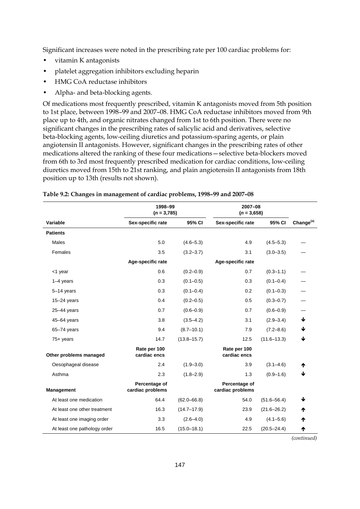Significant increases were noted in the prescribing rate per 100 cardiac problems for:

- vitamin K antagonists
- platelet aggregation inhibitors excluding heparin
- HMG CoA reductase inhibitors
- Alpha- and beta-blocking agents.

Of medications most frequently prescribed, vitamin K antagonists moved from 5th position to 1st place, between 1998–99 and 2007–08. HMG CoA reductase inhibitors moved from 9th place up to 4th, and organic nitrates changed from 1st to 6th position. There were no significant changes in the prescribing rates of salicylic acid and derivatives, selective beta-blocking agents, low-ceiling diuretics and potassium-sparing agents, or plain angiotensin II antagonists. However, significant changes in the prescribing rates of other medications altered the ranking of these four medications—selective beta-blockers moved from 6th to 3rd most frequently prescribed medication for cardiac conditions, low-ceiling diuretics moved from 15th to 21st ranking, and plain angiotensin II antagonists from 18th position up to 13th (results not shown).

|                              | 1998-99<br>$(n = 3,785)$          |                 | 2007-08<br>$(n = 3,658)$          |                 |                       |
|------------------------------|-----------------------------------|-----------------|-----------------------------------|-----------------|-----------------------|
| Variable                     | Sex-specific rate                 | 95% CI          | Sex-specific rate                 | 95% CI          | Change <sup>(a)</sup> |
| <b>Patients</b>              |                                   |                 |                                   |                 |                       |
| Males                        | 5.0                               | $(4.6 - 5.3)$   | 4.9                               | $(4.5 - 5.3)$   |                       |
| Females                      | 3.5                               | $(3.2 - 3.7)$   | 3.1                               | $(3.0 - 3.5)$   |                       |
|                              | Age-specific rate                 |                 | Age-specific rate                 |                 |                       |
| <1 year                      | 0.6                               | $(0.2 - 0.9)$   | 0.7                               | $(0.3 - 1.1)$   |                       |
| $1-4$ years                  | 0.3                               | $(0.1 - 0.5)$   | 0.3                               | $(0.1 - 0.4)$   |                       |
| $5-14$ years                 | 0.3                               | $(0.1 - 0.4)$   | 0.2                               | $(0.1 - 0.3)$   |                       |
| $15-24$ years                | 0.4                               | $(0.2 - 0.5)$   | 0.5                               | $(0.3 - 0.7)$   |                       |
| $25 - 44$ years              | 0.7                               | $(0.6 - 0.9)$   | 0.7                               | $(0.6 - 0.9)$   |                       |
| $45 - 64$ years              | 3.8                               | $(3.5 - 4.2)$   | 3.1                               | $(2.9 - 3.4)$   | ♦                     |
| $65 - 74$ years              | 9.4                               | $(8.7 - 10.1)$  | 7.9                               | $(7.2 - 8.6)$   | ♦                     |
| $75+$ years                  | 14.7                              | $(13.8 - 15.7)$ | 12.5                              | $(11.6 - 13.3)$ | ↓                     |
| Other problems managed       | Rate per 100<br>cardiac encs      |                 | Rate per 100<br>cardiac encs      |                 |                       |
| Oesophageal disease          | 2.4                               | $(1.9 - 3.0)$   | 3.9                               | $(3.1 - 4.6)$   | ተ                     |
| Asthma                       | 2.3                               | $(1.8 - 2.9)$   | 1.3                               | $(0.9 - 1.6)$   | ↓                     |
| Management                   | Percentage of<br>cardiac problems |                 | Percentage of<br>cardiac problems |                 |                       |
| At least one medication      | 64.4                              | $(62.0 - 66.8)$ | 54.0                              | $(51.6 - 56.4)$ | ↓                     |
| At least one other treatment | 16.3                              | $(14.7 - 17.9)$ | 23.9                              | $(21.6 - 26.2)$ | ተ                     |
| At least one imaging order   | 3.3                               | $(2.6 - 4.0)$   | 4.9                               | $(4.1 - 5.6)$   | ተ                     |
| At least one pathology order | 16.5                              | $(15.0 - 18.1)$ | 22.5                              | $(20.5 - 24.4)$ | ተ                     |

|  | Table 9.2: Changes in management of cardiac problems, 1998-99 and 2007-08 |  |  |
|--|---------------------------------------------------------------------------|--|--|
|  |                                                                           |  |  |

*(continued)*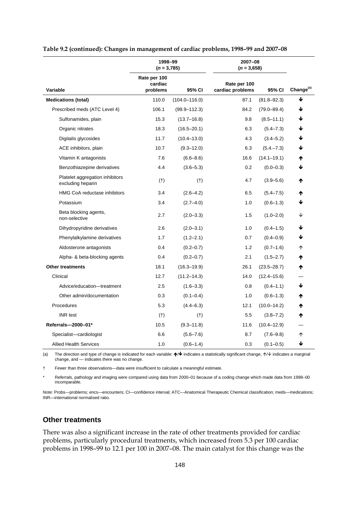|                                                      | 1998-99<br>$(n=3,785)$              |                   | 2007-08<br>$(n=3,658)$           |                 |                       |
|------------------------------------------------------|-------------------------------------|-------------------|----------------------------------|-----------------|-----------------------|
| Variable                                             | Rate per 100<br>cardiac<br>problems | 95% CI            | Rate per 100<br>cardiac problems | 95% CI          | Change <sup>(a)</sup> |
| <b>Medications (total)</b>                           | 110.0                               | $(104.0 - 116.0)$ | 87.1                             | $(81.8 - 92.3)$ | ↓                     |
| Prescribed meds (ATC Level 4)                        | 106.1                               | $(99.9 - 112.3)$  | 84.2                             | $(79.0 - 89.4)$ | ↓                     |
| Sulfonamides, plain                                  | 15.3                                | $(13.7 - 16.8)$   | 9.8                              | $(8.5 - 11.1)$  | ↓                     |
| Organic nitrates                                     | 18.3                                | $(16.5 - 20.1)$   | 6.3                              | $(5.4 - 7.3)$   | ↓                     |
| Digitalis glycosides                                 | 11.7                                | $(10.4 - 13.0)$   | 4.3                              | $(3.4 - 5.2)$   | ↓                     |
| ACE inhibitors, plain                                | 10.7                                | $(9.3 - 12.0)$    | 6.3                              | $(5.4 - 7.3)$   | ↓                     |
| Vitamin K antagonists                                | 7.6                                 | $(6.6 - 8.6)$     | 16.6                             | $(14.1 - 19.1)$ | Λ                     |
| Benzothiazepine derivatives                          | 4.4                                 | $(3.6 - 5.3)$     | 0.2                              | $(0.0 - 0.3)$   | ↓                     |
| Platelet aggregation inhibitors<br>excluding heparin | $(+)$                               | $(+)$             | 4.7                              | $(3.9 - 5.6)$   | ₼                     |
| <b>HMG CoA reductase inhibitors</b>                  | 3.4                                 | $(2.6 - 4.2)$     | 6.5                              | $(5.4 - 7.5)$   | ₼                     |
| Potassium                                            | 3.4                                 | $(2.7 - 4.0)$     | 1.0                              | $(0.6 - 1.3)$   | ↓                     |
| Beta blocking agents,<br>non-selective               | 2.7                                 | $(2.0 - 3.3)$     | 1.5                              | $(1.0 - 2.0)$   | ↓                     |
| Dihydropyridine derivatives                          | 2.6                                 | $(2.0 - 3.1)$     | 1.0                              | $(0.4 - 1.5)$   | ↓                     |
| Phenylalkylamine derivatives                         | 1.7                                 | $(1.2 - 2.1)$     | 0.7                              | $(0.4 - 0.9)$   | ↓                     |
| Aldosterone antagonists                              | 0.4                                 | $(0.2 - 0.7)$     | 1.2                              | $(0.7 - 1.6)$   | ↑                     |
| Alpha- & beta-blocking agents                        | 0.4                                 | $(0.2 - 0.7)$     | 2.1                              | $(1.5 - 2.7)$   | ተ                     |
| <b>Other treatments</b>                              | 18.1                                | $(16.3 - 19.9)$   | 26.1                             | $(23.5 - 28.7)$ | ₼                     |
| Clinical                                             | 12.7                                | $(11.2 - 14.3)$   | 14.0                             | $(12.4 - 15.6)$ |                       |
| Advice/education-treatment                           | 2.5                                 | $(1.6 - 3.3)$     | 0.8                              | $(0.4 - 1.1)$   | ↓                     |
| Other admin/documentation                            | 0.3                                 | $(0.1 - 0.4)$     | 1.0                              | $(0.6 - 1.3)$   | ተ                     |
| Procedures                                           | 5.3                                 | $(4.4 - 6.3)$     | 12.1                             | $(10.0 - 14.2)$ | Λ                     |
| <b>INR</b> test                                      | $(+)$                               | $(+)$             | 5.5                              | $(3.8 - 7.2)$   | ₼                     |
| Referrals-2000-01*                                   | 10.5                                | $(9.3 - 11.8)$    | 11.6                             | $(10.4 - 12.9)$ |                       |
| Specialist-cardiologist                              | 6.6                                 | $(5.6 - 7.6)$     | 8.7                              | $(7.6 - 9.8)$   | ↑                     |
| <b>Allied Health Services</b>                        | 1.0                                 | $(0.6 - 1.4)$     | 0.3                              | $(0.1 - 0.5)$   | ↓                     |

**Table 9.2 (continued): Changes in management of cardiac problems, 1998–99 and 2007–08** 

(a) The direction and type of change is indicated for each variable:  $\bigwedge^{\mathsf{L}}\mathsf{Indicates}$  a statistically significant change,  $\bigwedge^{\mathsf{L}}\mathsf{Indicates}$  a marginal change, and — indicates there was no change.

† Fewer than three observations—data were insufficient to calculate a meaningful estimate.

\* Referrals, pathology and imaging were compared using data from 2000–01 because of a coding change which made data from 1998–00 incomparable.

*Note:* Probs—problems; encs—encounters; CI—confidence interval; ATC—Anatomical Therapeutic Chemical classification; meds—medications; INR—international normalised ratio.

### **Other treatments**

There was also a significant increase in the rate of other treatments provided for cardiac problems, particularly procedural treatments, which increased from 5.3 per 100 cardiac problems in 1998–99 to 12.1 per 100 in 2007–08. The main catalyst for this change was the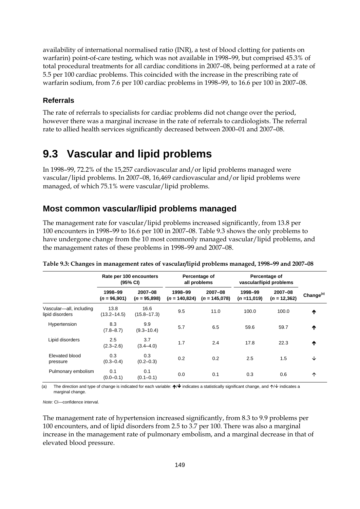availability of international normalised ratio (INR), a test of blood clotting for patients on warfarin) point-of-care testing, which was not available in 1998–99, but comprised 45.3% of total procedural treatments for all cardiac conditions in 2007–08, being performed at a rate of 5.5 per 100 cardiac problems. This coincided with the increase in the prescribing rate of warfarin sodium, from 7.6 per 100 cardiac problems in 1998–99, to 16.6 per 100 in 2007–08.

### **Referrals**

The rate of referrals to specialists for cardiac problems did not change over the period, however there was a marginal increase in the rate of referrals to cardiologists. The referral rate to allied health services significantly decreased between 2000–01 and 2007–08.

## **9.3 Vascular and lipid problems**

In 1998–99, 72.2% of the 15,257 cardiovascular and/or lipid problems managed were vascular/lipid problems. In 2007–08, 16,469 cardiovascular and/or lipid problems were managed, of which 75.1% were vascular/lipid problems.

### **Most common vascular/lipid problems managed**

The management rate for vascular/lipid problems increased significantly, from 13.8 per 100 encounters in 1998–99 to 16.6 per 100 in 2007–08. Table 9.3 shows the only problems to have undergone change from the 10 most commonly managed vascular/lipid problems, and the management rates of these problems in 1998–99 and 2007–08.

|                                            | Rate per 100 encounters<br>(95% CI) |                           |                            | Percentage of<br>all problems |                         | Percentage of<br>vascular/lipid problems |                       |
|--------------------------------------------|-------------------------------------|---------------------------|----------------------------|-------------------------------|-------------------------|------------------------------------------|-----------------------|
|                                            | 1998-99<br>$(n = 96,901)$           | 2007-08<br>$(n = 95,898)$ | 1998-99<br>$(n = 140.824)$ | 2007-08<br>$(n = 145.078)$    | 1998-99<br>$(n=11,019)$ | 2007-08<br>$(n = 12,362)$                | Change <sup>(a)</sup> |
| Vascular-all, including<br>lipid disorders | 13.8<br>$(13.2 - 14.5)$             | 16.6<br>$(15.8 - 17.3)$   | 9.5                        | 11.0                          | 100.0                   | 100.0                                    | ↑                     |
| Hypertension                               | 8.3<br>$(7.8 - 8.7)$                | 9.9<br>$(9.3 - 10.4)$     | 5.7                        | 6.5                           | 59.6                    | 59.7                                     | ₼                     |
| Lipid disorders                            | 2.5<br>$(2.3 - 2.6)$                | 3.7<br>$(3.4 - 4.0)$      | 1.7                        | 2.4                           | 17.8                    | 22.3                                     | ₼                     |
| Elevated blood<br>pressure                 | 0.3<br>$(0.3 - 0.4)$                | 0.3<br>$(0.2 - 0.3)$      | 0.2                        | 0.2                           | 2.5                     | 1.5                                      | ↓                     |
| Pulmonary embolism                         | 0.1<br>$(0.0 - 0.1)$                | 0.1<br>$(0.1 - 0.1)$      | 0.0                        | 0.1                           | 0.3                     | 0.6                                      | 个                     |

**Table 9.3: Changes in management rates of vascular/lipid problems managed, 1998–99 and 2007–08** 

The direction and type of change is indicated for each variable:  $\bigtriangleup\bigtriangledown$  indicates a statistically significant change, and  $\uparrow\bigtriangledown\bigtriangledown$  indicates a marginal change.

*Note:* CI—confidence interval.

The management rate of hypertension increased significantly, from 8.3 to 9.9 problems per 100 encounters, and of lipid disorders from 2.5 to 3.7 per 100. There was also a marginal increase in the management rate of pulmonary embolism, and a marginal decrease in that of elevated blood pressure.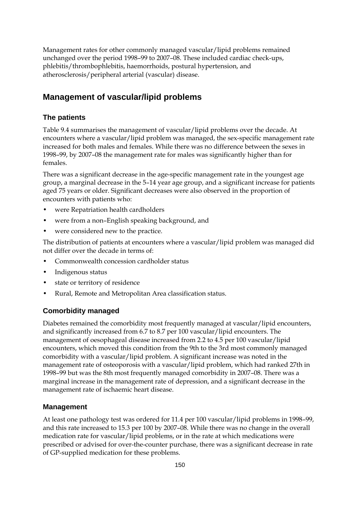Management rates for other commonly managed vascular/lipid problems remained unchanged over the period 1998–99 to 2007–08. These included cardiac check-ups, phlebitis/thrombophlebitis, haemorrhoids, postural hypertension, and atherosclerosis/peripheral arterial (vascular) disease.

### **Management of vascular/lipid problems**

### **The patients**

Table 9.4 summarises the management of vascular/lipid problems over the decade. At encounters where a vascular/lipid problem was managed, the sex-specific management rate increased for both males and females. While there was no difference between the sexes in 1998–99, by 2007–08 the management rate for males was significantly higher than for females.

There was a significant decrease in the age-specific management rate in the youngest age group, a marginal decrease in the 5–14 year age group, and a significant increase for patients aged 75 years or older. Significant decreases were also observed in the proportion of encounters with patients who:

- were Repatriation health cardholders
- were from a non–English speaking background, and
- were considered new to the practice.

The distribution of patients at encounters where a vascular/lipid problem was managed did not differ over the decade in terms of:

- Commonwealth concession cardholder status
- Indigenous status
- state or territory of residence
- Rural, Remote and Metropolitan Area classification status.

### **Comorbidity managed**

Diabetes remained the comorbidity most frequently managed at vascular/lipid encounters, and significantly increased from 6.7 to 8.7 per 100 vascular/lipid encounters. The management of oesophageal disease increased from 2.2 to 4.5 per 100 vascular/lipid encounters, which moved this condition from the 9th to the 3rd most commonly managed comorbidity with a vascular/lipid problem. A significant increase was noted in the management rate of osteoporosis with a vascular/lipid problem, which had ranked 27th in 1998–99 but was the 8th most frequently managed comorbidity in 2007–08. There was a marginal increase in the management rate of depression, and a significant decrease in the management rate of ischaemic heart disease.

### **Management**

At least one pathology test was ordered for 11.4 per 100 vascular/lipid problems in 1998–99, and this rate increased to 15.3 per 100 by 2007–08. While there was no change in the overall medication rate for vascular/lipid problems, or in the rate at which medications were prescribed or advised for over-the-counter purchase, there was a significant decrease in rate of GP-supplied medication for these problems.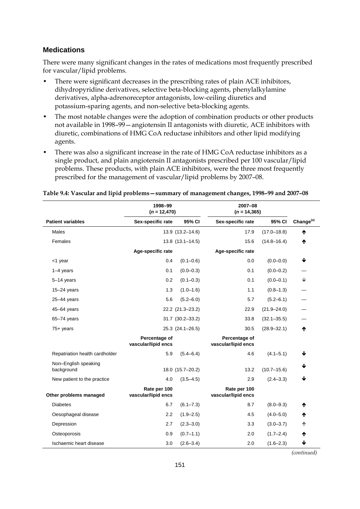### **Medications**

There were many significant changes in the rates of medications most frequently prescribed for vascular/lipid problems.

- There were significant decreases in the prescribing rates of plain ACE inhibitors, dihydropyridine derivatives, selective beta-blocking agents, phenylalkylamine derivatives, alpha-adrenoreceptor antagonists, low-ceiling diuretics and potassium-sparing agents, and non-selective beta-blocking agents.
- The most notable changes were the adoption of combination products or other products not available in 1998–99—angiotensin II antagonists with diuretic, ACE inhibitors with diuretic, combinations of HMG CoA reductase inhibitors and other lipid modifying agents.
- There was also a significant increase in the rate of HMG CoA reductase inhibitors as a single product, and plain angiotensin II antagonists prescribed per 100 vascular/lipid problems. These products, with plain ACE inhibitors, were the three most frequently prescribed for the management of vascular/lipid problems by 2007–08.

|                                    | 1998-99<br>$(n = 12,470)$            |                        | 2007-08<br>$(n = 14, 365)$           |                 |                       |  |
|------------------------------------|--------------------------------------|------------------------|--------------------------------------|-----------------|-----------------------|--|
| <b>Patient variables</b>           | Sex-specific rate                    | 95% CI                 | Sex-specific rate                    | 95% CI          | Change <sup>(a)</sup> |  |
| Males                              |                                      | 13.9 (13.2-14.6)       | 17.9                                 | $(17.0 - 18.8)$ | ተ                     |  |
| Females                            |                                      | $13.8$ $(13.1 - 14.5)$ | 15.6                                 | $(14.8 - 16.4)$ | ተ                     |  |
|                                    | Age-specific rate                    |                        | Age-specific rate                    |                 |                       |  |
| $<$ 1 year                         | 0.4                                  | $(0.1 - 0.6)$          | 0.0                                  | $(0.0 - 0.0)$   | ↓                     |  |
| $1-4$ years                        | 0.1                                  | $(0.0 - 0.3)$          | 0.1                                  | $(0.0 - 0.2)$   |                       |  |
| 5-14 years                         | 0.2                                  | $(0.1 - 0.3)$          | 0.1                                  | $(0.0 - 0.1)$   | ↓                     |  |
| 15-24 years                        | 1.3                                  | $(1.0 - 1.6)$          | 1.1                                  | $(0.8 - 1.3)$   |                       |  |
| $25-44$ years                      | 5.6                                  | $(5.2 - 6.0)$          | 5.7                                  | $(5.2 - 6.1)$   |                       |  |
| 45-64 years                        |                                      | 22.2 (21.3-23.2)       | 22.9                                 | $(21.9 - 24.0)$ |                       |  |
| $65 - 74$ years                    |                                      | 31.7 (30.2-33.2)       | 33.8                                 | $(32.1 - 35.5)$ |                       |  |
| $75+$ years                        |                                      | 25.3 (24.1-26.5)       | 30.5                                 | $(28.9 - 32.1)$ | ↑                     |  |
|                                    | Percentage of<br>vascular/lipid encs |                        | Percentage of<br>vascular/lipid encs |                 |                       |  |
| Repatriation health cardholder     | 5.9                                  | $(5.4 - 6.4)$          | 4.6                                  | $(4.1 - 5.1)$   | ↓                     |  |
| Non-English speaking<br>background |                                      | 18.0 (15.7-20.2)       | 13.2                                 | $(10.7 - 15.6)$ | ↓                     |  |
| New patient to the practice        | 4.0                                  | $(3.5 - 4.5)$          | 2.9                                  | $(2.4 - 3.3)$   | ↓                     |  |
| Other problems managed             | Rate per 100<br>vascular/lipid encs  |                        | Rate per 100<br>vascular/lipid encs  |                 |                       |  |
| <b>Diabetes</b>                    | 6.7                                  | $(6.1 - 7.3)$          | 8.7                                  | $(8.0 - 9.3)$   | ↑                     |  |
| Oesophageal disease                | 2.2                                  | $(1.9 - 2.5)$          | 4.5                                  | $(4.0 - 5.0)$   | ↑                     |  |
| Depression                         | 2.7                                  | $(2.3 - 3.0)$          | 3.3                                  | $(3.0 - 3.7)$   | 个                     |  |
| Osteoporosis                       | 0.9                                  | $(0.7 - 1.1)$          | 2.0                                  | $(1.7 - 2.4)$   | ተ                     |  |
| Ischaemic heart disease            | 3.0                                  | $(2.6 - 3.4)$          | 2.0                                  | $(1.6 - 2.3)$   | ↓                     |  |

#### **Table 9.4: Vascular and lipid problems—summary of management changes, 1998–99 and 2007–08**

*(continued)*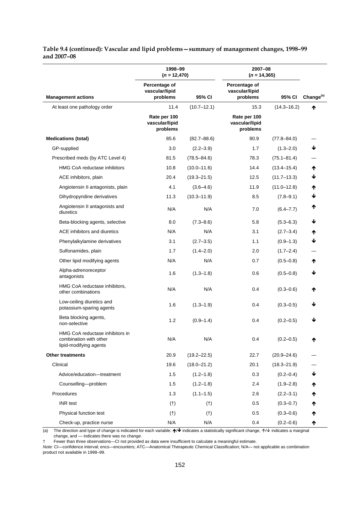| Table 9.4 (continued): Vascular and lipid problems - summary of management changes, 1998-99 |  |
|---------------------------------------------------------------------------------------------|--|
| and 2007–08                                                                                 |  |

|                                                                                     | 1998-99<br>$(n = 12,470)$                   |                 | 2007-08<br>$(n = 14, 365)$                  |                 |                       |
|-------------------------------------------------------------------------------------|---------------------------------------------|-----------------|---------------------------------------------|-----------------|-----------------------|
| <b>Management actions</b>                                                           | Percentage of<br>vascular/lipid<br>problems | 95% CI          | Percentage of<br>vascular/lipid<br>problems | 95% CI          | Change <sup>(a)</sup> |
| At least one pathology order                                                        | 11.4                                        | $(10.7 - 12.1)$ | 15.3                                        | $(14.3 - 16.2)$ | ተ                     |
|                                                                                     | Rate per 100<br>vascular/lipid<br>problems  |                 | Rate per 100<br>vascular/lipid<br>problems  |                 |                       |
| <b>Medications (total)</b>                                                          | 85.6                                        | $(82.7 - 88.6)$ | 80.9                                        | $(77.8 - 84.0)$ |                       |
| GP-supplied                                                                         | 3.0                                         | $(2.2 - 3.9)$   | 1.7                                         | $(1.3 - 2.0)$   | ↓                     |
| Prescribed meds (by ATC Level 4)                                                    | 81.5                                        | $(78.5 - 84.6)$ | 78.3                                        | $(75.1 - 81.4)$ |                       |
| HMG CoA reductase inhibitors                                                        | 10.8                                        | $(10.0 - 11.6)$ | 14.4                                        | $(13.4 - 15.4)$ | ↑                     |
| ACE inhibitors, plain                                                               | 20.4                                        | $(19.3 - 21.5)$ | 12.5                                        | $(11.7 - 13.3)$ | ↓                     |
| Angiotensin II antagonists, plain                                                   | 4.1                                         | $(3.6 - 4.6)$   | 11.9                                        | $(11.0 - 12.8)$ | ₼                     |
| Dihydropyridine derivatives                                                         | 11.3                                        | $(10.3 - 11.9)$ | 8.5                                         | $(7.8 - 9.1)$   |                       |
| Angiotensin II antagonists and<br>diuretics                                         | N/A                                         | N/A             | 7.0                                         | $(6.4 - 7.7)$   | ተ                     |
| Beta-blocking agents, selective                                                     | 8.0                                         | $(7.3 - 8.6)$   | 5.8                                         | $(5.3 - 6.3)$   | ↓                     |
| ACE inhibitors and diuretics                                                        | N/A                                         | N/A             | 3.1                                         | $(2.7 - 3.4)$   | ₼                     |
| Phenylalkylamine derivatives                                                        | 3.1                                         | $(2.7 - 3.5)$   | 1.1                                         | $(0.9 - 1.3)$   | J                     |
| Sulfonamides, plain                                                                 | 1.7                                         | $(1.4 - 2.0)$   | 2.0                                         | $(1.7 - 2.4)$   |                       |
| Other lipid modifying agents                                                        | N/A                                         | N/A             | 0.7                                         | $(0.5 - 0.8)$   | ₼                     |
| Alpha-adrenoreceptor<br>antagonists                                                 | 1.6                                         | $(1.3 - 1.8)$   | 0.6                                         | $(0.5 - 0.8)$   | ↓                     |
| HMG CoA reductase inhibitors,<br>other combinations                                 | N/A                                         | N/A             | 0.4                                         | $(0.3 - 0.6)$   | ₼                     |
| Low-ceiling diuretics and<br>potassium-sparing agents                               | 1.6                                         | $(1.3 - 1.9)$   | 0.4                                         | $(0.3 - 0.5)$   | J                     |
| Beta blocking agents,<br>non-selective                                              | 1.2                                         | $(0.9 - 1.4)$   | 0.4                                         | $(0.2 - 0.5)$   | ↓                     |
| HMG CoA reductase inhibitors in<br>combination with other<br>lipid-modifying agents | N/A                                         | N/A             | 0.4                                         | $(0.2 - 0.5)$   | ₼                     |
| <b>Other treatments</b>                                                             | 20.9                                        | $(19.2 - 22.5)$ | 22.7                                        | $(20.9 - 24.6)$ |                       |
| Clinical                                                                            | 19.6                                        | $(18.0 - 21.2)$ | 20.1                                        | $(18.3 - 21.9)$ |                       |
| Advice/education-treatment                                                          | 1.5                                         | $(1.2 - 1.8)$   | 0.3                                         | $(0.2 - 0.4)$   | ↓                     |
| Counselling-problem                                                                 | 1.5                                         | $(1.2 - 1.8)$   | 2.4                                         | $(1.9 - 2.8)$   | Ϋ                     |
| Procedures                                                                          | 1.3                                         | $(1.1 - 1.5)$   | 2.6                                         | $(2.2 - 3.1)$   | Ϋ                     |
| <b>INR</b> test                                                                     | $(+)$                                       | (t)             | 0.5                                         | $(0.3 - 0.7)$   | Ϋ                     |
| Physical function test                                                              | $(+)$                                       | $(+)$           | 0.5                                         | $(0.3 - 0.6)$   | T                     |
| Check-up, practice nurse                                                            | N/A                                         | N/A             | 0.4                                         | $(0.2 - 0.6)$   |                       |

(a) The direction and type of change is indicated for each variable:  $\bigtriangleup\bigtriangledown$  indicates a statistically significant change,  $\bigtriangleup\bigtriangledown$  indicates a marginal change, and — indicates there was no change.

† Fewer than three observations—CI not provided as data were insufficient to calculate a meaningful estimate.

*Note:* CI—confidence interval; encs—encounters; ATC—Anatomical Therapeutic Chemical Classification; N/A*—* not applicable as combination product not available in 1998–99.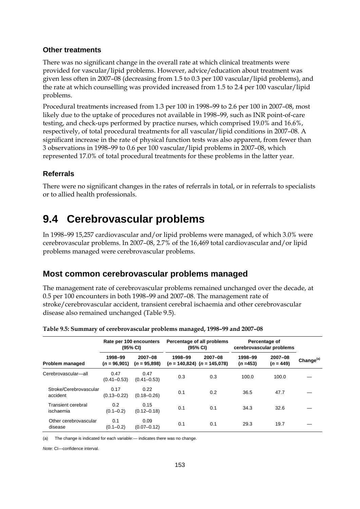#### **Other treatments**

There was no significant change in the overall rate at which clinical treatments were provided for vascular/lipid problems. However, advice/education about treatment was given less often in 2007–08 (decreasing from 1.5 to 0.3 per 100 vascular/lipid problems), and the rate at which counselling was provided increased from 1.5 to 2.4 per 100 vascular/lipid problems.

Procedural treatments increased from 1.3 per 100 in 1998–99 to 2.6 per 100 in 2007–08, most likely due to the uptake of procedures not available in 1998–99, such as INR point-of-care testing, and check-ups performed by practice nurses, which comprised 19.0% and 16.6%, respectively, of total procedural treatments for all vascular/lipid conditions in 2007–08. A significant increase in the rate of physical function tests was also apparent, from fewer than 3 observations in 1998–99 to 0.6 per 100 vascular/lipid problems in 2007–08, which represented 17.0% of total procedural treatments for these problems in the latter year.

### **Referrals**

There were no significant changes in the rates of referrals in total, or in referrals to specialists or to allied health professionals.

## **9.4 Cerebrovascular problems**

In 1998–99 15,257 cardiovascular and/or lipid problems were managed, of which 3.0% were cerebrovascular problems. In 2007–08, 2.7% of the 16,469 total cardiovascular and/or lipid problems managed were cerebrovascular problems.

### **Most common cerebrovascular problems managed**

The management rate of cerebrovascular problems remained unchanged over the decade, at 0.5 per 100 encounters in both 1998–99 and 2007–08. The management rate of stroke/cerebrovascular accident, transient cerebral ischaemia and other cerebrovascular disease also remained unchanged (Table 9.5).

|                                        |                           | Rate per 100 encounters<br>(95% CI) |         | Percentage of all problems<br>(95% CI)         |                      | Percentage of<br>cerebrovascular problems |                       |
|----------------------------------------|---------------------------|-------------------------------------|---------|------------------------------------------------|----------------------|-------------------------------------------|-----------------------|
| Problem managed                        | 1998-99<br>$(n = 96,901)$ | 2007-08<br>$(n = 95,898)$           | 1998-99 | $2007 - 08$<br>$(n = 140.824)$ $(n = 145.078)$ | 1998-99<br>$(n=453)$ | 2007-08<br>$(n = 449)$                    | Change <sup>(a)</sup> |
| Cerebrovascular-all                    | 0.47<br>$(0.41 - 0.53)$   | 0.47<br>$(0.41 - 0.53)$             | 0.3     | 0.3                                            | 100.0                | 100.0                                     |                       |
| Stroke/Cerebrovascular<br>accident     | 0.17<br>$(0.13 - 0.22)$   | 0.22<br>$(0.18 - 0.26)$             | 0.1     | 0.2                                            | 36.5                 | 47.7                                      |                       |
| <b>Transient cerebral</b><br>ischaemia | 0.2<br>$(0.1 - 0.2)$      | 0.15<br>$(0.12 - 0.18)$             | 0.1     | 0.1                                            | 34.3                 | 32.6                                      |                       |
| Other cerebrovascular<br>disease       | 0.1<br>$(0.1 - 0.2)$      | 0.09<br>$(0.07 - 0.12)$             | 0.1     | 0.1                                            | 29.3                 | 19.7                                      |                       |

**Table 9.5: Summary of cerebrovascular problems managed, 1998–99 and 2007–08** 

(a) The change is indicated for each variable:— indicates there was no change.

*Note:* CI—confidence interval.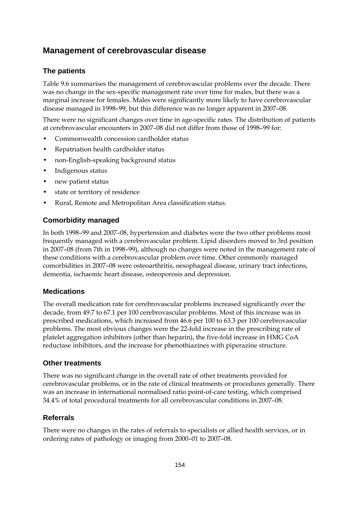## **Management of cerebrovascular disease**

### **The patients**

Table 9.6 summarises the management of cerebrovascular problems over the decade. There was no change in the sex-specific management rate over time for males, but there was a marginal increase for females. Males were significantly more likely to have cerebrovascular disease managed in 1998–99, but this difference was no longer apparent in 2007–08.

There were no significant changes over time in age-specific rates. The distribution of patients at cerebrovascular encounters in 2007–08 did not differ from those of 1998–99 for:

- Commonwealth concession cardholder status
- Repatriation health cardholder status
- non-English-speaking background status
- Indigenous status
- new patient status
- state or territory of residence
- Rural, Remote and Metropolitan Area classification status.

### **Comorbidity managed**

In both 1998–99 and 2007–08, hypertension and diabetes were the two other problems most frequently managed with a cerebrovascular problem. Lipid disorders moved to 3rd position in 2007–08 (from 7th in 1998–99), although no changes were noted in the management rate of these conditions with a cerebrovascular problem over time. Other commonly managed comorbidities in 2007–08 were osteoarthritis, oesophageal disease, urinary tract infections, dementia, ischaemic heart disease, osteoporosis and depression.

### **Medications**

The overall medication rate for cerebrovascular problems increased significantly over the decade, from 49.7 to 67.1 per 100 cerebrovascular problems. Most of this increase was in prescribed medications, which increased from 46.6 per 100 to 63.3 per 100 cerebrovascular problems. The most obvious changes were the 22-fold increase in the prescribing rate of platelet aggregation inhibitors (other than heparin), the five-fold increase in HMG CoA reductase inhibitors, and the increase for phenothiazines with piperazine structure.

### **Other treatments**

There was no significant change in the overall rate of other treatments provided for cerebrovascular problems, or in the rate of clinical treatments or procedures generally. There was an increase in international normalised ratio point-of-care testing, which comprised 34.4% of total procedural treatments for all cerebrovascular conditions in 2007–08.

### **Referrals**

There were no changes in the rates of referrals to specialists or allied health services, or in ordering rates of pathology or imaging from 2000–01 to 2007–08.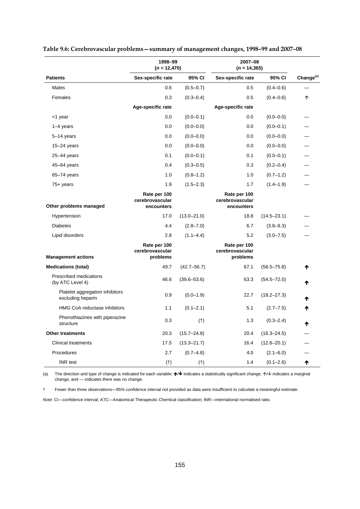| 1998-99<br>$(n = 12,470)$                            |                                               | 2007-08<br>$(n = 14, 365)$ |                                               |                 |                       |
|------------------------------------------------------|-----------------------------------------------|----------------------------|-----------------------------------------------|-----------------|-----------------------|
| <b>Patients</b>                                      | Sex-specific rate                             | 95% CI                     | Sex-specific rate                             | 95% CI          | Change <sup>(a)</sup> |
| Males                                                | 0.6                                           | $(0.5 - 0.7)$              | 0.5                                           | $(0.4 - 0.6)$   |                       |
| Females                                              | 0.3                                           | $(0.3 - 0.4)$              | 0.5                                           | $(0.4 - 0.6)$   | ↑                     |
|                                                      | Age-specific rate                             |                            | Age-specific rate                             |                 |                       |
| <1 year                                              | 0.0                                           | $(0.0 - 0.1)$              | 0.0                                           | $(0.0 - 0.0)$   |                       |
| $1-4$ years                                          | 0.0                                           | $(0.0 - 0.0)$              | 0.0                                           | $(0.0 - 0.1)$   |                       |
| 5-14 years                                           | 0.0                                           | $(0.0 - 0.0)$              | 0.0                                           | $(0.0 - 0.0)$   |                       |
| $15-24$ years                                        | 0.0                                           | $(0.0 - 0.0)$              | 0.0                                           | $(0.0 - 0.0)$   |                       |
| $25-44$ years                                        | 0.1                                           | $(0.0 - 0.1)$              | 0.1                                           | $(0.0 - 0.1)$   |                       |
| 45-64 years                                          | 0.4                                           | $(0.3 - 0.5)$              | 0.3                                           | $(0.2 - 0.4)$   |                       |
| $65 - 74$ years                                      | 1.0                                           | $(0.8 - 1.2)$              | 1.0                                           | $(0.7 - 1.2)$   |                       |
| $75+$ years                                          | 1.9                                           | $(1.5 - 2.3)$              | 1.7                                           | $(1.4 - 1.9)$   |                       |
| Other problems managed                               | Rate per 100<br>cerebrovascular<br>encounters |                            | Rate per 100<br>cerebrovascular<br>encounters |                 |                       |
| Hypertension                                         | 17.0                                          | $(13.0 - 21.0)$            | 18.8                                          | $(14.5 - 23.1)$ |                       |
| <b>Diabetes</b>                                      | 4.4                                           | $(2.8 - 7.0)$              | 6.7                                           | $(3.8 - 9.3)$   |                       |
| Lipid disorders                                      | 2.8                                           | $(1.1 - 4.4)$              | 5.2                                           | $(3.0 - 7.5)$   |                       |
| <b>Management actions</b>                            | Rate per 100<br>cerebrovascular<br>problems   |                            | Rate per 100<br>cerebrovascular<br>problems   |                 |                       |
| <b>Medications (total)</b>                           | 49.7                                          | $(42.7 - 56.7)$            | 67.1                                          | $(58.5 - 75.8)$ | ₼                     |
| Prescribed medications<br>(by ATC Level 4)           | 46.6                                          | $(39.6 - 53.6)$            | 63.3                                          | $(54.5 - 72.0)$ |                       |
| Platelet aggregation inhibitors<br>excluding heparin | 0.9                                           | $(0.0 - 1.9)$              | 22.7                                          | $(18.2 - 27.3)$ | Ϋ                     |
| HMG CoA reductase inhibitors                         | 1.1                                           | $(0.1 - 2.1)$              | 5.1                                           | $(2.7 - 7.5)$   | Ϋ                     |
| Phenothiazines with piperazine<br>structure          | 0.3                                           | $(+)$                      | 1.3                                           | $(0.3 - 2.4)$   | ₼                     |
| <b>Other treatments</b>                              | 20.3                                          | $(15.7 - 24.8)$            | 20.4                                          | $(16.3 - 24.5)$ |                       |
| <b>Clinical treatments</b>                           | 17.5                                          | $(13.3 - 21.7)$            | 16.4                                          | $(12.6 - 20.1)$ |                       |
| Procedures                                           | 2.7                                           | $(0.7 - 4.8)$              | 4.0                                           | $(2.1 - 6.0)$   |                       |
| <b>INR</b> test                                      | (t)                                           | $(+)$                      | 1.4                                           | $(0.1 - 2.6)$   | ₼                     |

| Table 9.6: Cerebrovascular problems - summary of management changes, 1998-99 and 2007-08 |  |  |
|------------------------------------------------------------------------------------------|--|--|
|                                                                                          |  |  |

(a) The direction and type of change is indicated for each variable:  $\bigwedge^2$  indicates a statistically significant change,  $\bigwedge^2$  indicates a marginal change, and — indicates there was no change.

† Fewer than three observations—95% confidence interval not provided as data were insufficient to calculate a meaningful estimate.

*Note:* CI—confidence interval; ATC—Anatomical Therapeutic Chemical classification; INR—international normalised ratio.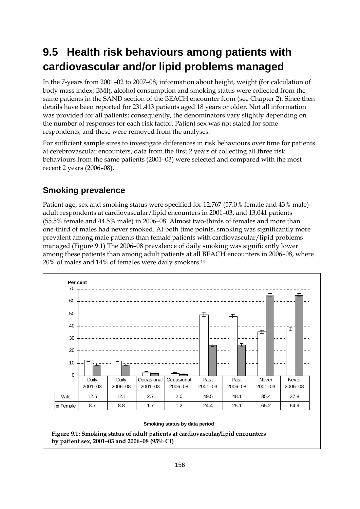# **9.5 Health risk behaviours among patients with cardiovascular and/or lipid problems managed**

In the 7-years from 2001–02 to 2007–08, information about height, weight (for calculation of body mass index; BMI), alcohol consumption and smoking status were collected from the same patients in the SAND section of the BEACH encounter form (see Chapter 2). Since then details have been reported for 231,413 patients aged 18 years or older. Not all information was provided for all patients; consequently, the denominators vary slightly depending on the number of responses for each risk factor. Patient sex was not stated for some respondents, and these were removed from the analyses.

For sufficient sample sizes to investigate differences in risk behaviours over time for patients at cerebrovascular encounters, data from the first 2 years of collecting all three risk behaviours from the same patients (2001–03) were selected and compared with the most recent 2 years (2006–08).

## **Smoking prevalence**

Patient age, sex and smoking status were specified for 12,767 (57.0% female and 43% male) adult respondents at cardiovascular/lipid encounters in 2001–03, and 13,041 patients (55.5% female and 44.5% male) in 2006–08. Almost two-thirds of females and more than one-third of males had never smoked. At both time points, smoking was significantly more prevalent among male patients than female patients with cardiovascular/lipid problems managed (Figure 9.1) The 2006–08 prevalence of daily smoking was significantly lower among these patients than among adult patients at all BEACH encounters in 2006–08, where 20% of males and 14% of females were daily smokers.14



**Figure 9.1: Smoking status of adult patients at cardiovascular/lipid encounters by patient sex, 2001–03 and 2006–08 (95% CI)**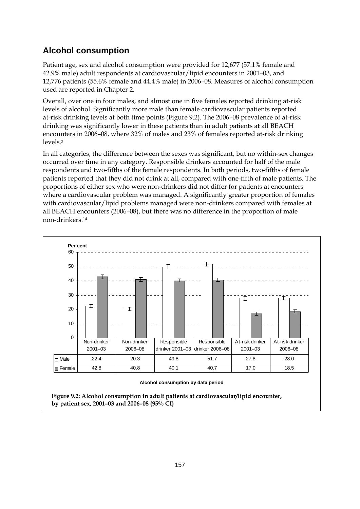## **Alcohol consumption**

Patient age, sex and alcohol consumption were provided for 12,677 (57.1% female and 42.9% male) adult respondents at cardiovascular/lipid encounters in 2001–03, and 12,776 patients (55.6% female and 44.4% male) in 2006–08. Measures of alcohol consumption used are reported in Chapter 2.

Overall, over one in four males, and almost one in five females reported drinking at-risk levels of alcohol. Significantly more male than female cardiovascular patients reported at-risk drinking levels at both time points (Figure 9.2). The 2006–08 prevalence of at-risk drinking was significantly lower in these patients than in adult patients at all BEACH encounters in 2006–08, where 32% of males and 23% of females reported at-risk drinking levels.3

In all categories, the difference between the sexes was significant, but no within-sex changes occurred over time in any category. Responsible drinkers accounted for half of the male respondents and two-fifths of the female respondents. In both periods, two-fifths of female patients reported that they did not drink at all, compared with one-fifth of male patients. The proportions of either sex who were non-drinkers did not differ for patients at encounters where a cardiovascular problem was managed. A significantly greater proportion of females with cardiovascular/lipid problems managed were non-drinkers compared with females at all BEACH encounters (2006–08), but there was no difference in the proportion of male non-drinkers.14



#### **Alcohol consumption by data period**

**Figure 9.2: Alcohol consumption in adult patients at cardiovascular/lipid encounter, by patient sex, 2001–03 and 2006–08 (95% CI)**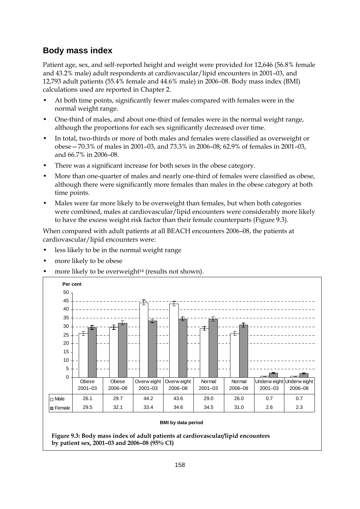### **Body mass index**

Patient age, sex, and self-reported height and weight were provided for 12,646 (56.8% female and 43.2% male) adult respondents at cardiovascular/lipid encounters in 2001–03, and 12,793 adult patients (55.4% female and 44.6% male) in 2006–08. Body mass index (BMI) calculations used are reported in Chapter 2.

- At both time points, significantly fewer males compared with females were in the normal weight range.
- One-third of males, and about one-third of females were in the normal weight range, although the proportions for each sex significantly decreased over time.
- In total, two-thirds or more of both males and females were classified as overweight or obese—70.3% of males in 2001–03, and 73.3% in 2006–08; 62.9% of females in 2001–03, and 66.7% in 2006–08.
- There was a significant increase for both sexes in the obese category.
- More than one-quarter of males and nearly one-third of females were classified as obese, although there were significantly more females than males in the obese category at both time points.
- Males were far more likely to be overweight than females, but when both categories were combined, males at cardiovascular/lipid encounters were considerably more likely to have the excess weight risk factor than their female counterparts (Figure 9.3).

When compared with adult patients at all BEACH encounters 2006–08, the patients at cardiovascular/lipid encounters were:

- less likely to be in the normal weight range
- more likely to be obese
- more likely to be overweight<sup>14</sup> (results not shown).

| 50          |                      |                  |                            |                        |                       |                   |                                          |         |
|-------------|----------------------|------------------|----------------------------|------------------------|-----------------------|-------------------|------------------------------------------|---------|
| 45          |                      |                  |                            |                        |                       |                   |                                          |         |
| 40          |                      |                  |                            |                        |                       |                   |                                          |         |
| 35          |                      |                  | Ŧ                          | €                      |                       |                   |                                          |         |
| 30          |                      |                  |                            |                        | Ŧ                     |                   |                                          |         |
| 25          |                      |                  |                            |                        |                       | ∓                 |                                          |         |
| 20          |                      |                  |                            |                        |                       |                   |                                          |         |
| 15          |                      |                  |                            |                        |                       |                   |                                          |         |
| 10          |                      |                  |                            |                        |                       |                   |                                          |         |
| 5           |                      |                  |                            |                        |                       |                   |                                          |         |
| $\mathbf 0$ |                      |                  |                            |                        |                       |                   |                                          |         |
|             | Obese<br>$2001 - 03$ | Obese<br>2006-08 | Overw eight<br>$2001 - 03$ | Overw eight<br>2006-08 | Normal<br>$2001 - 03$ | Normal<br>2006-08 | Underw eight Underw eight<br>$2001 - 03$ | 2006-08 |
| $\Box$ Male | 26.1                 | 29.7             | 44.2                       | 43.6                   | 29.0                  | 26.0              | 0.7                                      | 0.7     |
|             | 29.5                 | 32.1<br>33.4     |                            | 34.6                   | 34.5                  | 31.0              | 2.6                                      | 2.3     |

**Figure 9.3: Body mass index of adult patients at cardiovascular/lipid encounters by patient sex, 2001–03 and 2006–08 (95% CI)**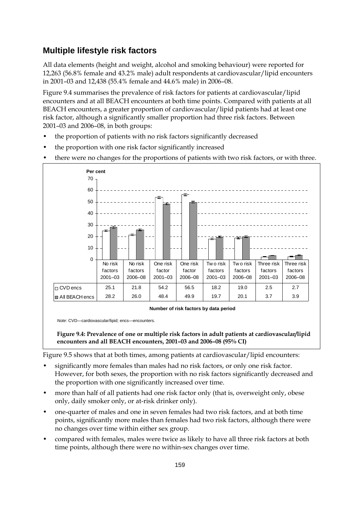## **Multiple lifestyle risk factors**

All data elements (height and weight, alcohol and smoking behaviour) were reported for 12,263 (56.8% female and 43.2% male) adult respondents at cardiovascular/lipid encounters in 2001–03 and 12,438 (55.4% female and 44.6% male) in 2006–08.

Figure 9.4 summarises the prevalence of risk factors for patients at cardiovascular/lipid encounters and at all BEACH encounters at both time points. Compared with patients at all BEACH encounters, a greater proportion of cardiovascular/lipid patients had at least one risk factor, although a significantly smaller proportion had three risk factors. Between 2001–03 and 2006–08, in both groups:

- the proportion of patients with no risk factors significantly decreased
- the proportion with one risk factor significantly increased
- there were no changes for the proportions of patients with two risk factors, or with three.



**Number of risk factors by data period** 

*Note*: CVD—cardiovascular/lipid; encs—encounters.

**Figure 9.4: Prevalence of one or multiple risk factors in adult patients at cardiovascular/lipid encounters and all BEACH encounters, 2001–03 and 2006–08 (95% CI)**

Figure 9.5 shows that at both times, among patients at cardiovascular/lipid encounters:

- significantly more females than males had no risk factors, or only one risk factor. However, for both sexes, the proportion with no risk factors significantly decreased and the proportion with one significantly increased over time.
- more than half of all patients had one risk factor only (that is, overweight only, obese only, daily smoker only, or at-risk drinker only).
- one-quarter of males and one in seven females had two risk factors, and at both time points, significantly more males than females had two risk factors, although there were no changes over time within either sex group.
- compared with females, males were twice as likely to have all three risk factors at both time points, although there were no within-sex changes over time.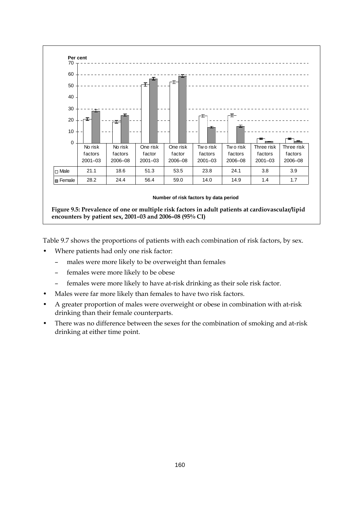

Table 9.7 shows the proportions of patients with each combination of risk factors, by sex.

- Where patients had only one risk factor:
	- males were more likely to be overweight than females
	- females were more likely to be obese
	- females were more likely to have at-risk drinking as their sole risk factor.
- Males were far more likely than females to have two risk factors.
- A greater proportion of males were overweight or obese in combination with at-risk drinking than their female counterparts.
- There was no difference between the sexes for the combination of smoking and at-risk drinking at either time point.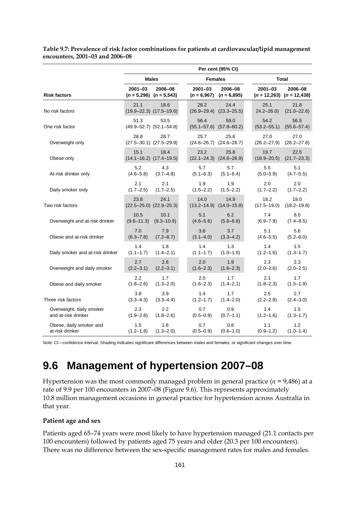|                                                 | Per cent (95% CI)      |                                         |  |                              |                          |  |                         |                                          |  |
|-------------------------------------------------|------------------------|-----------------------------------------|--|------------------------------|--------------------------|--|-------------------------|------------------------------------------|--|
|                                                 | <b>Males</b>           |                                         |  | <b>Females</b>               |                          |  | <b>Total</b>            |                                          |  |
| <b>Risk factors</b>                             | 2001-03                | 2006-08<br>$(n = 5,296)$ $(n = 5,543)$  |  | $2001 - 03$<br>$(n = 6,967)$ | 2006-08<br>$(n = 6,895)$ |  | $2001 - 03$             | 2006-08<br>$(n = 12,263)$ $(n = 12,438)$ |  |
| No risk factors                                 | 21.1                   | 18.6<br>$(19.9 - 22.3)$ $(17.5 - 19.6)$ |  | 28.2<br>$(26.9 - 29.4)$      | 24.4<br>$(23.3 - 25.5)$  |  | 25.1<br>$24.2 - 26.0$   | 21.8<br>$(21.0 - 22.6)$                  |  |
| One risk factor                                 | 51.3                   | 53.5<br>$(49.9 - 52.7)$ $(52.1 - 54.8)$ |  | 56.4<br>$(55.1 - 57.6)$      | 59.0<br>$(57.8 - 60.2)$  |  | 54.2<br>$(53.2 - 55.1)$ | 56.5<br>$(55.6 - 57.4)$                  |  |
| Overweight only                                 | 28.8                   | 28.7<br>$(27.5 - 30.1)$ $(27.5 - 29.9)$ |  | 25.7<br>$(24.6 - 26.7)$      | 25.6<br>$(24.6 - 26.7)$  |  | 27.0<br>$(26.2 - 27.9)$ | 27.0<br>$(26.2 - 27.8)$                  |  |
| Obese only                                      | 15.1                   | 18.4<br>$(14.1 - 16.2)$ $(17.4 - 19.5)$ |  | 23.2<br>$(22.1 - 24.3)$      | 25.8<br>$(24.6 - 26.9)$  |  | 19.7<br>$(18.9 - 20.5)$ | 22.5<br>$(21.7 - 23.3)$                  |  |
| At-risk drinker only                            | 5.2<br>$(4.6 - 5.8)$   | 4.3<br>$(3.7 - 4.8)$                    |  | 5.7<br>$(5.1 - 6.3)$         | 5.7<br>$(5.1 - 6.4)$     |  | 5.5<br>$(5.0 - 5.9)$    | 5.1<br>$(4.7 - 5.5)$                     |  |
| Daily smoker only                               | 2.1<br>$(1.7 - 2.5)$   | 2.1<br>$(1.7 - 2.5)$                    |  | 1.9<br>$(1.5 - 2.2)$         | 1.9<br>$(1.5 - 2.2)$     |  | 2.0<br>$(1.7 - 2.2)$    | 2.0<br>$(1.7 - 2.2)$                     |  |
| Two risk factors                                | 23.8                   | 24.1<br>$(22.5 - 25.0)$ $(22.9 - 25.3)$ |  | 14.0<br>$(13.2 - 14.9)$      | 14.9<br>$(14.0 - 15.8)$  |  | 18.2<br>$(17.5 - 19.0)$ | 19.0<br>$(18.2 - 19.8)$                  |  |
| Overweight and at-risk drinker                  | 10.5<br>$(9.6 - 11.3)$ | 10.1<br>$(9.3 - 10.9)$                  |  | 5.1<br>$(4.6 - 5.6)$         | 6.2<br>$(5.6 - 6.8)$     |  | 7.4<br>$(6.9 - 7.9)$    | 8.0<br>$(7.4 - 8.5)$                     |  |
| Obese and at-risk drinker                       | 7.0<br>$(6.3 - 7.8)$   | 7.9<br>$(7.2 - 8.7)$                    |  | 3.6<br>$(3.1 - 4.0)$         | 3.7<br>$(3.3 - 4.2)$     |  | 5.1<br>$(4.6 - 5.5)$    | 5.6<br>$(5.2 - 6.0)$                     |  |
| Daily smoker and at-risk drinker                | 1.4<br>$(1.1 - 1.7)$   | 1.8<br>$(1.4 - 2.1)$                    |  | 1.4<br>$(1.1 - 1.7)$         | 1.3<br>$(1.0 - 1.6)$     |  | 1.4<br>$(1.2 - 1.6)$    | 1.5<br>$(1.3 - 1.7)$                     |  |
| Overweight and daily smoker                     | 2.7<br>$(2.2 - 3.1)$   | 2.6<br>$(2.2 - 3.1)$                    |  | 2.0<br>$(1.6 - 2.3)$         | 1.9<br>$(1.6 - 2.3)$     |  | 2.3<br>$(2.0 - 2.6)$    | 2.3<br>$(2.0 - 2.5)$                     |  |
| Obese and daily smoker                          | 2.2<br>$(1.8 - 2.6)$   | 1.7<br>$(1.3 - 2.0)$                    |  | 2.0<br>$(1.6 - 2.3)$         | 1.7<br>$(1.4 - 2.1)$     |  | 2.1<br>$(1.8 - 2.3)$    | 1.7<br>$(1.5 - 1.9)$                     |  |
| Three risk factors                              | 3.8<br>$(3.3 - 4.3)$   | 3.9<br>$(3.3 - 4.4)$                    |  | 1.4<br>$(1.2 - 1.7)$         | 1.7<br>$(1.4 - 2.0)$     |  | 2.5<br>$(2.2 - 2.8)$    | 2.7<br>$(2.4 - 3.0)$                     |  |
| Overweight, daily smoker<br>and at-risk drinker | 2.3<br>$(1.9 - 2.8)$   | 2.2<br>$(1.8 - 2.6)$                    |  | 0.7<br>$(0.5 - 0.9)$         | 0.9<br>$(0.7 - 1.1)$     |  | 1.4<br>$(1.2 - 1.6)$    | 1.5<br>$(1.3 - 1.7)$                     |  |
| Obese, daily smoker and<br>at-risk drinker      | 1.5<br>$(1.2 - 1.8)$   | 1.6<br>$(1.3 - 2.0)$                    |  | 0.7<br>$(0.5 - 0.9)$         | 0.8<br>$(0.6 - 1.0)$     |  | 1.1<br>$(0.9 - 1.2)$    | 1.2<br>$(1.0 - 1.4)$                     |  |

**Table 9.7: Prevalence of risk factor combinations for patients at cardiovascular/lipid management encounters, 2001–03 and 2006–08** 

*Note:* CI—confidence interval. Shading indicates significant differences between males and females, or significant changes over time.

# **9.6 Management of hypertension 2007–08**

Hypertension was the most commonly managed problem in general practice (*n* = 9,486) at a rate of 9.9 per 100 encounters in 2007–08 (Figure 9.6). This represents approximately 10.8 million management occasions in general practice for hypertension across Australia in that year.

#### **Patient age and sex**

Patients aged 65–74 years were most likely to have hypertension managed (21.1 contacts per 100 encounters) followed by patients aged 75 years and older (20.3 per 100 encounters). There was no difference between the sex-specific management rates for males and females.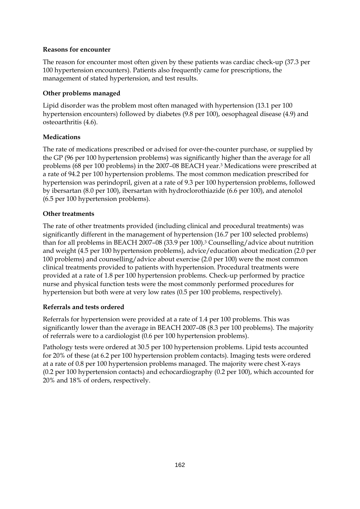### **Reasons for encounter**

The reason for encounter most often given by these patients was cardiac check-up (37.3 per 100 hypertension encounters). Patients also frequently came for prescriptions, the management of stated hypertension, and test results.

### **Other problems managed**

Lipid disorder was the problem most often managed with hypertension (13.1 per 100 hypertension encounters) followed by diabetes (9.8 per 100), oesophageal disease (4.9) and osteoarthritis (4.6).

### **Medications**

The rate of medications prescribed or advised for over-the-counter purchase, or supplied by the GP (96 per 100 hypertension problems) was significantly higher than the average for all problems (68 per 100 problems) in the 2007–08 BEACH year.3 Medications were prescribed at a rate of 94.2 per 100 hypertension problems. The most common medication prescribed for hypertension was perindopril, given at a rate of 9.3 per 100 hypertension problems, followed by ibersartan (8.0 per 100), ibersartan with hydroclorothiazide (6.6 per 100), and atenolol (6.5 per 100 hypertension problems).

### **Other treatments**

The rate of other treatments provided (including clinical and procedural treatments) was significantly different in the management of hypertension (16.7 per 100 selected problems) than for all problems in BEACH 2007–08 (33.9 per 100).3 Counselling/advice about nutrition and weight (4.5 per 100 hypertension problems), advice/education about medication (2.0 per 100 problems) and counselling/advice about exercise (2.0 per 100) were the most common clinical treatments provided to patients with hypertension. Procedural treatments were provided at a rate of 1.8 per 100 hypertension problems. Check-up performed by practice nurse and physical function tests were the most commonly performed procedures for hypertension but both were at very low rates (0.5 per 100 problems, respectively).

### **Referrals and tests ordered**

Referrals for hypertension were provided at a rate of 1.4 per 100 problems. This was significantly lower than the average in BEACH 2007–08 (8.3 per 100 problems). The majority of referrals were to a cardiologist (0.6 per 100 hypertension problems).

Pathology tests were ordered at 30.5 per 100 hypertension problems. Lipid tests accounted for 20% of these (at 6.2 per 100 hypertension problem contacts). Imaging tests were ordered at a rate of 0.8 per 100 hypertension problems managed. The majority were chest X-rays (0.2 per 100 hypertension contacts) and echocardiography (0.2 per 100), which accounted for 20% and 18% of orders, respectively.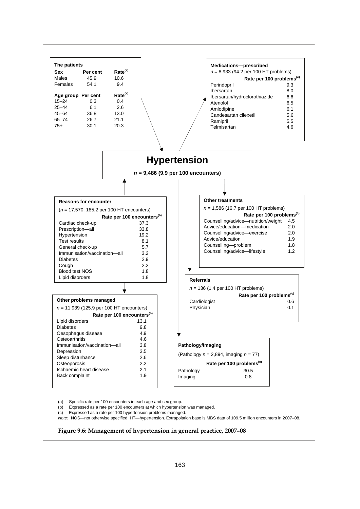

(a) Specific rate per 100 encounters in each age and sex group.

(b) Expressed as a rate per 100 encounters at which hypertension was managed.

(c) Expressed as a rate per 100 hypertension problems managed.

*Note:* NOS—not otherwise specified; HT—hypertension. Extrapolation base is MBS data of 109.5 million encounters in 2007–08.

#### **Figure 9.6: Management of hypertension in general practice, 2007–08**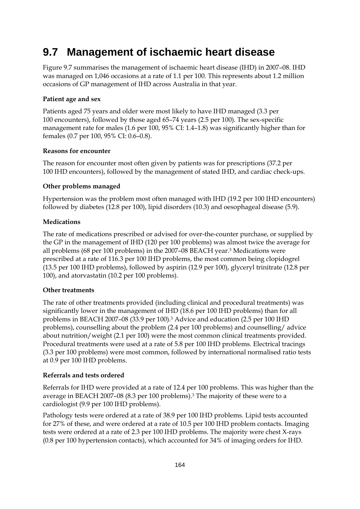# **9.7 Management of ischaemic heart disease**

Figure 9.7 summarises the management of ischaemic heart disease (IHD) in 2007–08. IHD was managed on 1,046 occasions at a rate of 1.1 per 100. This represents about 1.2 million occasions of GP management of IHD across Australia in that year.

### **Patient age and sex**

Patients aged 75 years and older were most likely to have IHD managed (3.3 per 100 encounters), followed by those aged 65–74 years (2.5 per 100). The sex-specific management rate for males (1.6 per 100, 95% CI: 1.4–1.8) was significantly higher than for females (0.7 per 100, 95% CI: 0.6–0.8).

### **Reasons for encounter**

The reason for encounter most often given by patients was for prescriptions (37.2 per 100 IHD encounters), followed by the management of stated IHD, and cardiac check-ups.

### **Other problems managed**

Hypertension was the problem most often managed with IHD (19.2 per 100 IHD encounters) followed by diabetes (12.8 per 100), lipid disorders (10.3) and oesophageal disease (5.9).

### **Medications**

The rate of medications prescribed or advised for over-the-counter purchase, or supplied by the GP in the management of IHD (120 per 100 problems) was almost twice the average for all problems (68 per 100 problems) in the 2007–08 BEACH year.3 Medications were prescribed at a rate of 116.3 per 100 IHD problems, the most common being clopidogrel (13.5 per 100 IHD problems), followed by aspirin (12.9 per 100), glyceryl trinitrate (12.8 per 100), and atorvastatin (10.2 per 100 problems).

### **Other treatments**

The rate of other treatments provided (including clinical and procedural treatments) was significantly lower in the management of IHD (18.6 per 100 IHD problems) than for all problems in BEACH 2007–08 (33.9 per 100).3 Advice and education (2.5 per 100 IHD problems), counselling about the problem (2.4 per 100 problems) and counselling/ advice about nutrition/weight (2.1 per 100) were the most common clinical treatments provided. Procedural treatments were used at a rate of 5.8 per 100 IHD problems. Electrical tracings (3.3 per 100 problems) were most common, followed by international normalised ratio tests at 0.9 per 100 IHD problems.

### **Referrals and tests ordered**

Referrals for IHD were provided at a rate of 12.4 per 100 problems. This was higher than the average in BEACH 2007–08 (8.3 per 100 problems).3 The majority of these were to a cardiologist (9.9 per 100 IHD problems).

Pathology tests were ordered at a rate of 38.9 per 100 IHD problems. Lipid tests accounted for 27% of these, and were ordered at a rate of 10.5 per 100 IHD problem contacts. Imaging tests were ordered at a rate of 2.3 per 100 IHD problems. The majority were chest X-rays (0.8 per 100 hypertension contacts), which accounted for 34% of imaging orders for IHD.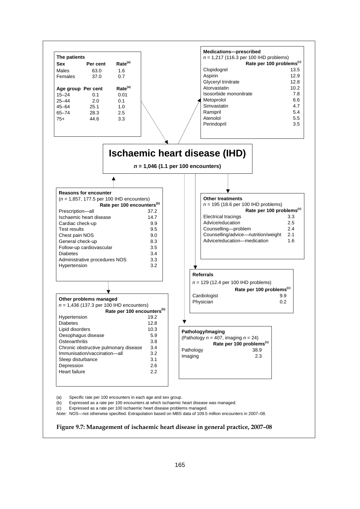

#### **Figure 9.7: Management of ischaemic heart disease in general practice, 2007–08**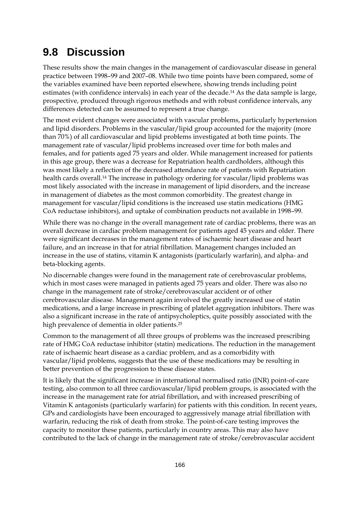## **9.8 Discussion**

These results show the main changes in the management of cardiovascular disease in general practice between 1998–99 and 2007–08. While two time points have been compared, some of the variables examined have been reported elsewhere, showing trends including point estimates (with confidence intervals) in each year of the decade.14 As the data sample is large, prospective, produced through rigorous methods and with robust confidence intervals, any differences detected can be assumed to represent a true change.

The most evident changes were associated with vascular problems, particularly hypertension and lipid disorders. Problems in the vascular/lipid group accounted for the majority (more than 70%) of all cardiovascular and lipid problems investigated at both time points. The management rate of vascular/lipid problems increased over time for both males and females, and for patients aged 75 years and older. While management increased for patients in this age group, there was a decrease for Repatriation health cardholders, although this was most likely a reflection of the decreased attendance rate of patients with Repatriation health cards overall.14 The increase in pathology ordering for vascular/lipid problems was most likely associated with the increase in management of lipid disorders, and the increase in management of diabetes as the most common comorbidity. The greatest change in management for vascular/lipid conditions is the increased use statin medications (HMG CoA reductase inhibitors), and uptake of combination products not available in 1998–99.

While there was no change in the overall management rate of cardiac problems, there was an overall decrease in cardiac problem management for patients aged 45 years and older. There were significant decreases in the management rates of ischaemic heart disease and heart failure, and an increase in that for atrial fibrillation. Management changes included an increase in the use of statins, vitamin K antagonists (particularly warfarin), and alpha- and beta-blocking agents.

No discernable changes were found in the management rate of cerebrovascular problems, which in most cases were managed in patients aged 75 years and older. There was also no change in the management rate of stroke/cerebrovascular accident or of other cerebrovascular disease. Management again involved the greatly increased use of statin medications, and a large increase in prescribing of platelet aggregation inhibitors. There was also a significant increase in the rate of antipsycholeptics, quite possibly associated with the high prevalence of dementia in older patients.25

Common to the management of all three groups of problems was the increased prescribing rate of HMG CoA reductase inhibitor (statin) medications. The reduction in the management rate of ischaemic heart disease as a cardiac problem, and as a comorbidity with vascular/lipid problems, suggests that the use of these medications may be resulting in better prevention of the progression to these disease states.

It is likely that the significant increase in international normalised ratio (INR) point-of-care testing, also common to all three cardiovascular/lipid problem groups, is associated with the increase in the management rate for atrial fibrillation, and with increased prescribing of Vitamin K antagonists (particularly warfarin) for patients with this condition. In recent years, GPs and cardiologists have been encouraged to aggressively manage atrial fibrillation with warfarin, reducing the risk of death from stroke. The point-of-care testing improves the capacity to monitor these patients, particularly in country areas. This may also have contributed to the lack of change in the management rate of stroke/cerebrovascular accident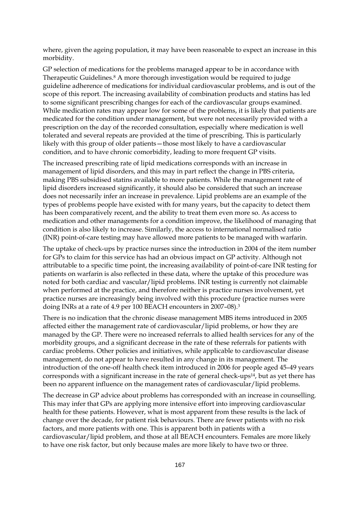where, given the ageing population, it may have been reasonable to expect an increase in this morbidity.

GP selection of medications for the problems managed appear to be in accordance with Therapeutic Guidelines.8 A more thorough investigation would be required to judge guideline adherence of medications for individual cardiovascular problems, and is out of the scope of this report. The increasing availability of combination products and statins has led to some significant prescribing changes for each of the cardiovascular groups examined. While medication rates may appear low for some of the problems, it is likely that patients are medicated for the condition under management, but were not necessarily provided with a prescription on the day of the recorded consultation, especially where medication is well tolerated and several repeats are provided at the time of prescribing. This is particularly likely with this group of older patients—those most likely to have a cardiovascular condition, and to have chronic comorbidity, leading to more frequent GP visits.

The increased prescribing rate of lipid medications corresponds with an increase in management of lipid disorders, and this may in part reflect the change in PBS criteria, making PBS subsidised statins available to more patients. While the management rate of lipid disorders increased significantly, it should also be considered that such an increase does not necessarily infer an increase in prevalence. Lipid problems are an example of the types of problems people have existed with for many years, but the capacity to detect them has been comparatively recent, and the ability to treat them even more so. As access to medication and other managements for a condition improve, the likelihood of managing that condition is also likely to increase. Similarly, the access to international normalised ratio (INR) point-of-care testing may have allowed more patients to be managed with warfarin.

The uptake of check-ups by practice nurses since the introduction in 2004 of the item number for GPs to claim for this service has had an obvious impact on GP activity. Although not attributable to a specific time point, the increasing availability of point-of-care INR testing for patients on warfarin is also reflected in these data, where the uptake of this procedure was noted for both cardiac and vascular/lipid problems. INR testing is currently not claimable when performed at the practice, and therefore neither is practice nurses involvement, yet practice nurses are increasingly being involved with this procedure (practice nurses were doing INRs at a rate of 4.9 per 100 BEACH encounters in 2007-08).<sup>3</sup>

There is no indication that the chronic disease management MBS items introduced in 2005 affected either the management rate of cardiovascular/lipid problems, or how they are managed by the GP. There were no increased referrals to allied health services for any of the morbidity groups, and a significant decrease in the rate of these referrals for patients with cardiac problems. Other policies and initiatives, while applicable to cardiovascular disease management, do not appear to have resulted in any change in its management. The introduction of the one-off health check item introduced in 2006 for people aged 45–49 years corresponds with a significant increase in the rate of general check-ups<sup>14</sup>, but as yet there has been no apparent influence on the management rates of cardiovascular/lipid problems.

The decrease in GP advice about problems has corresponded with an increase in counselling. This may infer that GPs are applying more intensive effort into improving cardiovascular health for these patients. However, what is most apparent from these results is the lack of change over the decade, for patient risk behaviours. There are fewer patients with no risk factors, and more patients with one. This is apparent both in patients with a cardiovascular/lipid problem, and those at all BEACH encounters. Females are more likely to have one risk factor, but only because males are more likely to have two or three.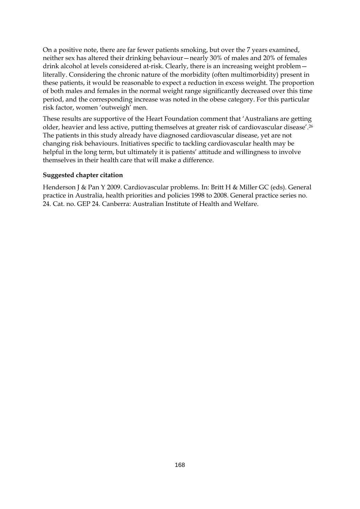On a positive note, there are far fewer patients smoking, but over the 7 years examined, neither sex has altered their drinking behaviour—nearly 30% of males and 20% of females drink alcohol at levels considered at-risk. Clearly, there is an increasing weight problem literally. Considering the chronic nature of the morbidity (often multimorbidity) present in these patients, it would be reasonable to expect a reduction in excess weight. The proportion of both males and females in the normal weight range significantly decreased over this time period, and the corresponding increase was noted in the obese category. For this particular risk factor, women 'outweigh' men.

These results are supportive of the Heart Foundation comment that 'Australians are getting older, heavier and less active, putting themselves at greater risk of cardiovascular disease'.26 The patients in this study already have diagnosed cardiovascular disease, yet are not changing risk behaviours. Initiatives specific to tackling cardiovascular health may be helpful in the long term, but ultimately it is patients' attitude and willingness to involve themselves in their health care that will make a difference.

#### **Suggested chapter citation**

Henderson J & Pan Y 2009. Cardiovascular problems. In: Britt H & Miller GC (eds). General practice in Australia, health priorities and policies 1998 to 2008. General practice series no. 24. Cat. no. GEP 24. Canberra: Australian Institute of Health and Welfare.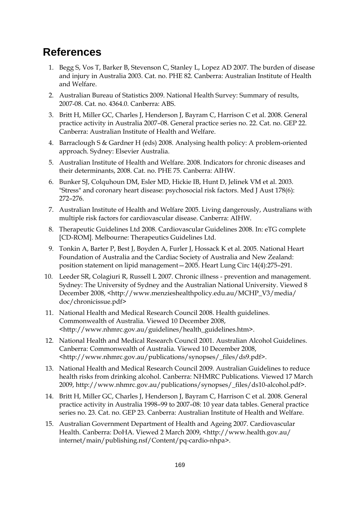## **References**

- 1. Begg S, Vos T, Barker B, Stevenson C, Stanley L, Lopez AD 2007. The burden of disease and injury in Australia 2003. Cat. no. PHE 82. Canberra: Australian Institute of Health and Welfare.
- 2. Australian Bureau of Statistics 2009. National Health Survey: Summary of results, 2007-08. Cat. no. 4364.0. Canberra: ABS.
- 3. Britt H, Miller GC, Charles J, Henderson J, Bayram C, Harrison C et al. 2008. General practice activity in Australia 2007–08. General practice series no. 22. Cat. no. GEP 22. Canberra: Australian Institute of Health and Welfare.
- 4. Barraclough S & Gardner H (eds) 2008. Analysing health policy: A problem-oriented approach. Sydney: Elsevier Australia.
- 5. Australian Institute of Health and Welfare. 2008. Indicators for chronic diseases and their determinants, 2008. Cat. no. PHE 75. Canberra: AIHW.
- 6. Bunker SJ, Colquhoun DM, Esler MD, Hickie IB, Hunt D, Jelinek VM et al. 2003. "Stress" and coronary heart disease: psychosocial risk factors. Med J Aust 178(6): 272–276.
- 7. Australian Institute of Health and Welfare 2005. Living dangerously, Australians with multiple risk factors for cardiovascular disease. Canberra: AIHW.
- 8. Therapeutic Guidelines Ltd 2008. Cardiovascular Guidelines 2008. In: eTG complete [CD-ROM]. Melbourne: Therapeutics Guidelines Ltd.
- 9. Tonkin A, Barter P, Best J, Boyden A, Furler J, Hossack K et al. 2005. National Heart Foundation of Australia and the Cardiac Society of Australia and New Zealand: position statement on lipid management—2005. Heart Lung Circ 14(4):275–291.
- 10. Leeder SR, Colagiuri R, Russell L 2007. Chronic illness prevention and management. Sydney: The University of Sydney and the Australian National University. Viewed 8 December 2008, <http://www.menzieshealthpolicy.edu.au/MCHP\_V3/media/ doc/chronicissue.pdf>
- 11. National Health and Medical Research Council 2008. Health guidelines. Commonwealth of Australia. Viewed 10 December 2008, <http://www.nhmrc.gov.au/guidelines/health\_guidelines.htm>.
- 12. National Health and Medical Research Council 2001. Australian Alcohol Guidelines. Canberra: Commonwealth of Australia. Viewed 10 December 2008, <http://www.nhmrc.gov.au/publications/synopses/\_files/ds9.pdf>.
- 13. National Health and Medical Research Council 2009. Australian Guidelines to reduce health risks from drinking alcohol. Canberra: NHMRC Publications. Viewed 17 March 2009, http://www.nhmrc.gov.au/publications/synopses/\_files/ds10-alcohol.pdf>.
- 14. Britt H, Miller GC, Charles J, Henderson J, Bayram C, Harrison C et al. 2008. General practice activity in Australia 1998–99 to 2007–08: 10 year data tables. General practice series no. 23. Cat. no. GEP 23. Canberra: Australian Institute of Health and Welfare.
- 15. Australian Government Department of Health and Ageing 2007. Cardiovascular Health. Canberra: DoHA. Viewed 2 March 2009, <http://www.health.gov.au/ internet/main/publishing.nsf/Content/pq-cardio-nhpa>.